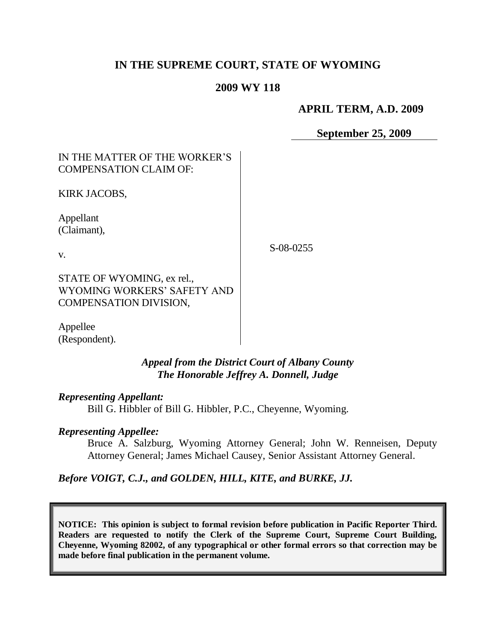# **IN THE SUPREME COURT, STATE OF WYOMING**

#### **2009 WY 118**

### **APRIL TERM, A.D. 2009**

**September 25, 2009**

# IN THE MATTER OF THE WORKER'S COMPENSATION CLAIM OF:

KIRK JACOBS,

Appellant (Claimant),

v.

S-08-0255

STATE OF WYOMING, ex rel., WYOMING WORKERS' SAFETY AND COMPENSATION DIVISION,

Appellee (Respondent).

#### *Appeal from the District Court of Albany County The Honorable Jeffrey A. Donnell, Judge*

#### *Representing Appellant:*

Bill G. Hibbler of Bill G. Hibbler, P.C., Cheyenne, Wyoming.

## *Representing Appellee:*

Bruce A. Salzburg, Wyoming Attorney General; John W. Renneisen, Deputy Attorney General; James Michael Causey, Senior Assistant Attorney General.

*Before VOIGT, C.J., and GOLDEN, HILL, KITE, and BURKE, JJ.*

**NOTICE: This opinion is subject to formal revision before publication in Pacific Reporter Third. Readers are requested to notify the Clerk of the Supreme Court, Supreme Court Building, Cheyenne, Wyoming 82002, of any typographical or other formal errors so that correction may be made before final publication in the permanent volume.**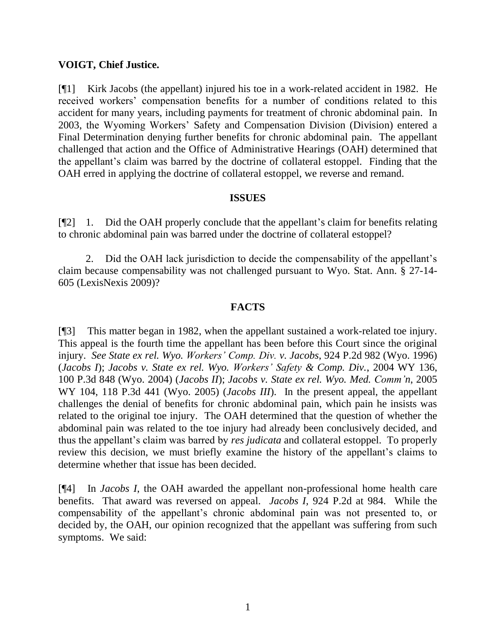#### **VOIGT, Chief Justice.**

[¶1] Kirk Jacobs (the appellant) injured his toe in a work-related accident in 1982. He received workers' compensation benefits for a number of conditions related to this accident for many years, including payments for treatment of chronic abdominal pain. In 2003, the Wyoming Workers' Safety and Compensation Division (Division) entered a Final Determination denying further benefits for chronic abdominal pain. The appellant challenged that action and the Office of Administrative Hearings (OAH) determined that the appellant's claim was barred by the doctrine of collateral estoppel. Finding that the OAH erred in applying the doctrine of collateral estoppel, we reverse and remand.

#### **ISSUES**

[¶2] 1. Did the OAH properly conclude that the appellant's claim for benefits relating to chronic abdominal pain was barred under the doctrine of collateral estoppel?

2. Did the OAH lack jurisdiction to decide the compensability of the appellant's claim because compensability was not challenged pursuant to Wyo. Stat. Ann. § 27-14- 605 (LexisNexis 2009)?

### **FACTS**

[¶3] This matter began in 1982, when the appellant sustained a work-related toe injury. This appeal is the fourth time the appellant has been before this Court since the original injury. *See State ex rel. Wyo. Workers' Comp. Div. v. Jacobs*, 924 P.2d 982 (Wyo. 1996) (*Jacobs I*); *Jacobs v. State ex rel. Wyo. Workers' Safety & Comp. Div.*, 2004 WY 136, 100 P.3d 848 (Wyo. 2004) (*Jacobs II*); *Jacobs v. State ex rel. Wyo. Med. Comm'n*, 2005 WY 104, 118 P.3d 441 (Wyo. 2005) (*Jacobs III*). In the present appeal, the appellant challenges the denial of benefits for chronic abdominal pain, which pain he insists was related to the original toe injury. The OAH determined that the question of whether the abdominal pain was related to the toe injury had already been conclusively decided, and thus the appellant's claim was barred by *res judicata* and collateral estoppel. To properly review this decision, we must briefly examine the history of the appellant's claims to determine whether that issue has been decided.

[¶4] In *Jacobs I*, the OAH awarded the appellant non-professional home health care benefits. That award was reversed on appeal. *Jacobs I,* 924 P.2d at 984. While the compensability of the appellant's chronic abdominal pain was not presented to, or decided by, the OAH, our opinion recognized that the appellant was suffering from such symptoms. We said: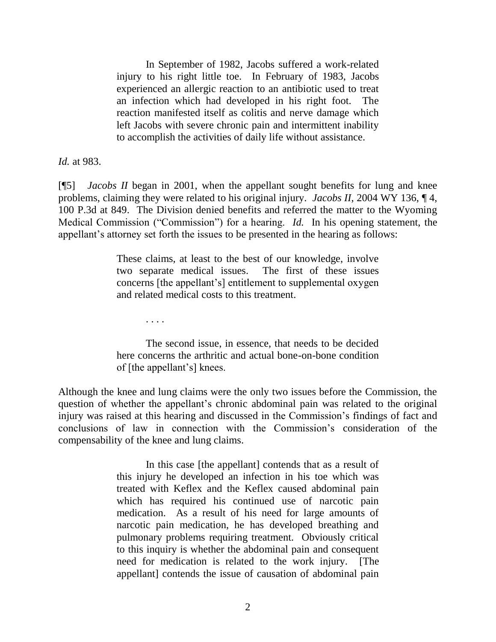In September of 1982, Jacobs suffered a work-related injury to his right little toe. In February of 1983, Jacobs experienced an allergic reaction to an antibiotic used to treat an infection which had developed in his right foot. The reaction manifested itself as colitis and nerve damage which left Jacobs with severe chronic pain and intermittent inability to accomplish the activities of daily life without assistance.

*Id.* at 983.

[¶5] *Jacobs II* began in 2001, when the appellant sought benefits for lung and knee problems, claiming they were related to his original injury. *Jacobs II*, 2004 WY 136, ¶ 4, 100 P.3d at 849. The Division denied benefits and referred the matter to the Wyoming Medical Commission ("Commission") for a hearing. *Id.* In his opening statement, the appellant's attorney set forth the issues to be presented in the hearing as follows:

> These claims, at least to the best of our knowledge, involve two separate medical issues. The first of these issues concerns [the appellant's] entitlement to supplemental oxygen and related medical costs to this treatment.

The second issue, in essence, that needs to be decided here concerns the arthritic and actual bone-on-bone condition of [the appellant's] knees.

. . . .

Although the knee and lung claims were the only two issues before the Commission, the question of whether the appellant's chronic abdominal pain was related to the original injury was raised at this hearing and discussed in the Commission's findings of fact and conclusions of law in connection with the Commission's consideration of the compensability of the knee and lung claims.

> In this case [the appellant] contends that as a result of this injury he developed an infection in his toe which was treated with Keflex and the Keflex caused abdominal pain which has required his continued use of narcotic pain medication. As a result of his need for large amounts of narcotic pain medication, he has developed breathing and pulmonary problems requiring treatment. Obviously critical to this inquiry is whether the abdominal pain and consequent need for medication is related to the work injury. [The appellant] contends the issue of causation of abdominal pain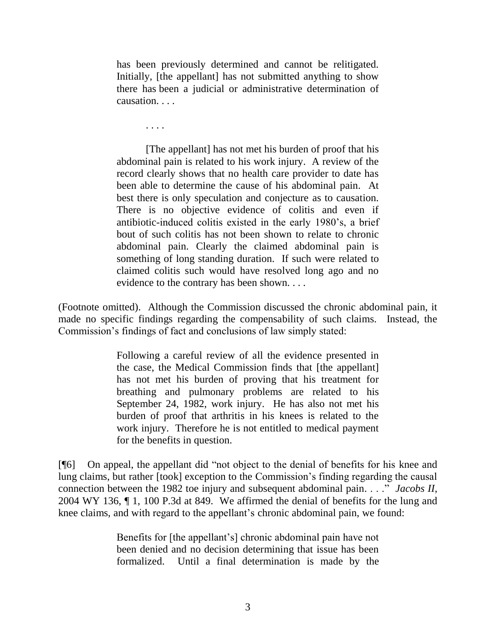has been previously determined and cannot be relitigated. Initially, [the appellant] has not submitted anything to show there has been a judicial or administrative determination of causation. . . .

. . . .

[The appellant] has not met his burden of proof that his abdominal pain is related to his work injury. A review of the record clearly shows that no health care provider to date has been able to determine the cause of his abdominal pain. At best there is only speculation and conjecture as to causation. There is no objective evidence of colitis and even if antibiotic-induced colitis existed in the early 1980's, a brief bout of such colitis has not been shown to relate to chronic abdominal pain. Clearly the claimed abdominal pain is something of long standing duration. If such were related to claimed colitis such would have resolved long ago and no evidence to the contrary has been shown. . . .

(Footnote omitted). Although the Commission discussed the chronic abdominal pain, it made no specific findings regarding the compensability of such claims. Instead, the Commission's findings of fact and conclusions of law simply stated:

> Following a careful review of all the evidence presented in the case, the Medical Commission finds that [the appellant] has not met his burden of proving that his treatment for breathing and pulmonary problems are related to his September 24, 1982, work injury. He has also not met his burden of proof that arthritis in his knees is related to the work injury. Therefore he is not entitled to medical payment for the benefits in question.

[¶6] On appeal, the appellant did "not object to the denial of benefits for his knee and lung claims, but rather [took] exception to the Commission's finding regarding the causal connection between the 1982 toe injury and subsequent abdominal pain. . . ." *Jacobs II*, 2004 WY 136, ¶ 1, 100 P.3d at 849. We affirmed the denial of benefits for the lung and knee claims, and with regard to the appellant's chronic abdominal pain, we found:

> Benefits for [the appellant's] chronic abdominal pain have not been denied and no decision determining that issue has been formalized. Until a final determination is made by the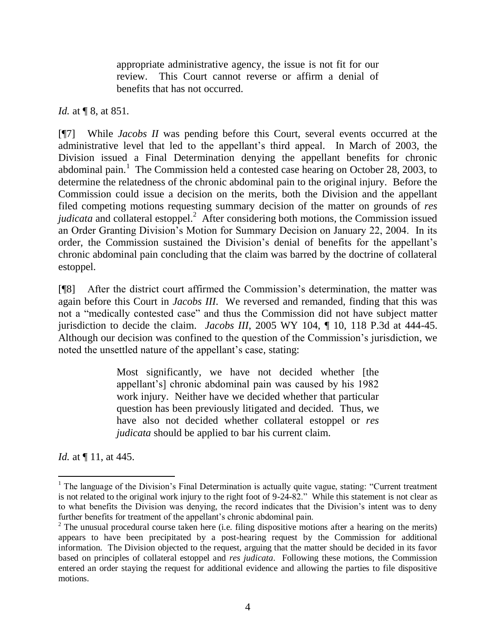appropriate administrative agency, the issue is not fit for our review. This Court cannot reverse or affirm a denial of benefits that has not occurred.

*Id.* at **[** 8, at 851.

[¶7] While *Jacobs II* was pending before this Court, several events occurred at the administrative level that led to the appellant's third appeal. In March of 2003, the Division issued a Final Determination denying the appellant benefits for chronic abdominal pain.<sup>1</sup> The Commission held a contested case hearing on October 28, 2003, to determine the relatedness of the chronic abdominal pain to the original injury. Before the Commission could issue a decision on the merits, both the Division and the appellant filed competing motions requesting summary decision of the matter on grounds of *res judicata* and collateral estoppel.<sup>2</sup> After considering both motions, the Commission issued an Order Granting Division's Motion for Summary Decision on January 22, 2004. In its order, the Commission sustained the Division's denial of benefits for the appellant's chronic abdominal pain concluding that the claim was barred by the doctrine of collateral estoppel.

[¶8] After the district court affirmed the Commission's determination, the matter was again before this Court in *Jacobs III*. We reversed and remanded, finding that this was not a "medically contested case" and thus the Commission did not have subject matter jurisdiction to decide the claim. *Jacobs III*, 2005 WY 104, ¶ 10, 118 P.3d at 444-45. Although our decision was confined to the question of the Commission's jurisdiction, we noted the unsettled nature of the appellant's case, stating:

> Most significantly, we have not decided whether [the appellant's] chronic abdominal pain was caused by his 1982 work injury. Neither have we decided whether that particular question has been previously litigated and decided. Thus, we have also not decided whether collateral estoppel or *res judicata* should be applied to bar his current claim.

*Id.* at  $\P$  11, at 445.

 $<sup>1</sup>$  The language of the Division's Final Determination is actually quite vague, stating: "Current treatment</sup> is not related to the original work injury to the right foot of 9-24-82." While this statement is not clear as to what benefits the Division was denying, the record indicates that the Division's intent was to deny further benefits for treatment of the appellant's chronic abdominal pain.

<sup>&</sup>lt;sup>2</sup> The unusual procedural course taken here (i.e. filing dispositive motions after a hearing on the merits) appears to have been precipitated by a post-hearing request by the Commission for additional information. The Division objected to the request, arguing that the matter should be decided in its favor based on principles of collateral estoppel and *res judicata*. Following these motions, the Commission entered an order staying the request for additional evidence and allowing the parties to file dispositive motions.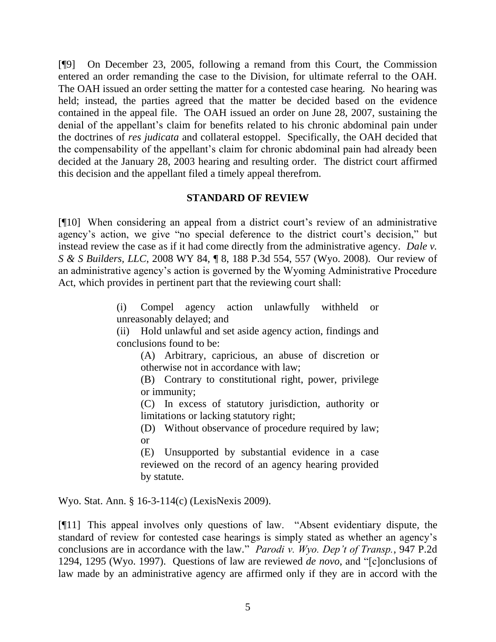[¶9] On December 23, 2005, following a remand from this Court, the Commission entered an order remanding the case to the Division, for ultimate referral to the OAH. The OAH issued an order setting the matter for a contested case hearing. No hearing was held; instead, the parties agreed that the matter be decided based on the evidence contained in the appeal file. The OAH issued an order on June 28, 2007, sustaining the denial of the appellant's claim for benefits related to his chronic abdominal pain under the doctrines of *res judicata* and collateral estoppel. Specifically, the OAH decided that the compensability of the appellant's claim for chronic abdominal pain had already been decided at the January 28, 2003 hearing and resulting order. The district court affirmed this decision and the appellant filed a timely appeal therefrom.

#### **STANDARD OF REVIEW**

[¶10] When considering an appeal from a district court's review of an administrative agency's action, we give "no special deference to the district court's decision," but instead review the case as if it had come directly from the administrative agency. *Dale v. S & S Builders, LLC*, 2008 WY 84, ¶ 8, 188 P.3d 554, 557 (Wyo. 2008). Our review of an administrative agency's action is governed by the Wyoming Administrative Procedure Act, which provides in pertinent part that the reviewing court shall:

> (i) Compel agency action unlawfully withheld or unreasonably delayed; and

> (ii) Hold unlawful and set aside agency action, findings and conclusions found to be:

(A) Arbitrary, capricious, an abuse of discretion or otherwise not in accordance with law;

(B) Contrary to constitutional right, power, privilege or immunity;

(C) In excess of statutory jurisdiction, authority or limitations or lacking statutory right;

(D) Without observance of procedure required by law; or

(E) Unsupported by substantial evidence in a case reviewed on the record of an agency hearing provided by statute.

Wyo. Stat. Ann. § 16-3-114(c) (LexisNexis 2009).

[¶11] This appeal involves only questions of law. "Absent evidentiary dispute, the standard of review for contested case hearings is simply stated as whether an agency's conclusions are in accordance with the law." *Parodi v. Wyo. Dep't of Transp.*, 947 P.2d 1294, 1295 (Wyo. 1997). Questions of law are reviewed *de novo*, and "[c]onclusions of law made by an administrative agency are affirmed only if they are in accord with the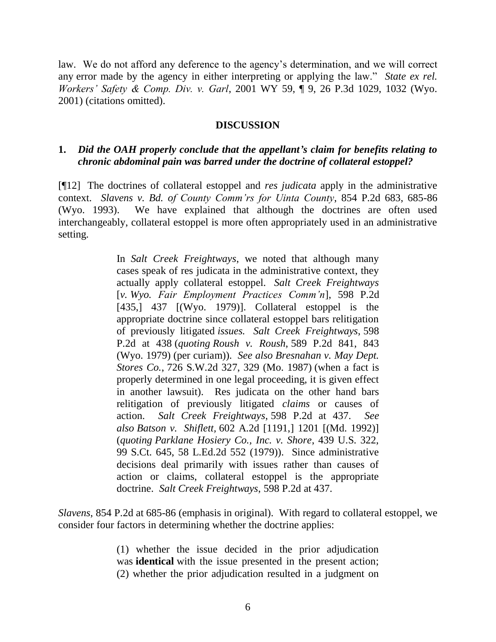law. We do not afford any deference to the agency's determination, and we will correct any error made by the agency in either interpreting or applying the law." *State ex rel. Workers' Safety & Comp. Div. v. Garl*, 2001 WY 59, ¶ 9, 26 P.3d 1029, 1032 (Wyo. 2001) (citations omitted).

#### **DISCUSSION**

## **1.** *Did the OAH properly conclude that the appellant's claim for benefits relating to chronic abdominal pain was barred under the doctrine of collateral estoppel?*

[¶12] The doctrines of collateral estoppel and *res judicata* apply in the administrative context. *Slavens v. Bd. of County Comm'rs for Uinta County*, 854 P.2d 683, 685-86 (Wyo. 1993). We have explained that although the doctrines are often used interchangeably, collateral estoppel is more often appropriately used in an administrative setting.

> In *Salt Creek Freightways*, we noted that although many cases speak of res judicata in the administrative context, they actually apply collateral estoppel. *Salt Creek Freightways* [*v. Wyo. Fair Employment Practices Comm'n*], 598 P.2d [435,] 437 [(Wyo. 1979)]. Collateral estoppel is the appropriate doctrine since collateral estoppel bars relitigation of previously litigated *issues. Salt Creek Freightways*, 598 P.2d at 438 (*quoting Roush v. Roush*, 589 P.2d 841, 843 (Wyo. 1979) (per curiam)). *See also Bresnahan v. May Dept. Stores Co.*, 726 S.W.2d 327, 329 (Mo. 1987) (when a fact is properly determined in one legal proceeding, it is given effect in another lawsuit). Res judicata on the other hand bars relitigation of previously litigated *claims* or causes of action. *Salt Creek Freightways*, 598 P.2d at 437. *See also Batson v. Shiflett,* 602 A.2d [1191,] 1201 [(Md. 1992)] (*quoting Parklane Hosiery Co., Inc. v. Shore*, 439 U.S. 322, 99 S.Ct. 645, 58 L.Ed.2d 552 (1979)). Since administrative decisions deal primarily with issues rather than causes of action or claims, collateral estoppel is the appropriate doctrine. *Salt Creek Freightways*, 598 P.2d at 437.

*Slavens*, 854 P.2d at 685-86 (emphasis in original). With regard to collateral estoppel, we consider four factors in determining whether the doctrine applies:

> (1) whether the issue decided in the prior adjudication was **identical** with the issue presented in the present action; (2) whether the prior adjudication resulted in a judgment on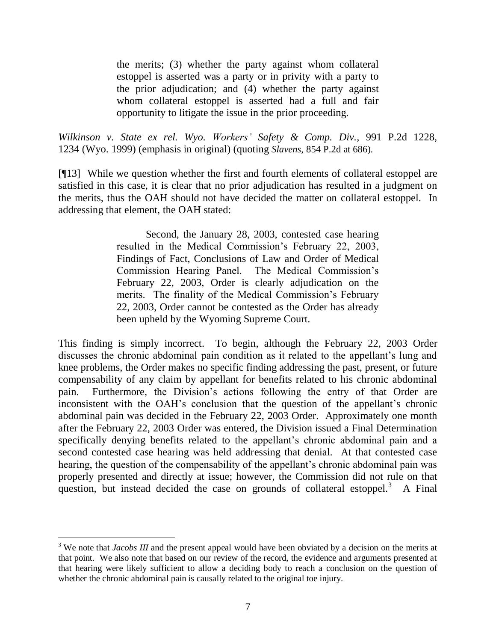the merits; (3) whether the party against whom collateral estoppel is asserted was a party or in privity with a party to the prior adjudication; and (4) whether the party against whom collateral estoppel is asserted had a full and fair opportunity to litigate the issue in the prior proceeding.

*Wilkinson v. State ex rel. Wyo. Workers' Safety & Comp. Div.*, 991 P.2d 1228, 1234 (Wyo. 1999) (emphasis in original) (quoting *Slavens*, 854 P.2d at 686).

[¶13] While we question whether the first and fourth elements of collateral estoppel are satisfied in this case, it is clear that no prior adjudication has resulted in a judgment on the merits, thus the OAH should not have decided the matter on collateral estoppel. In addressing that element, the OAH stated:

> Second, the January 28, 2003, contested case hearing resulted in the Medical Commission's February 22, 2003, Findings of Fact, Conclusions of Law and Order of Medical Commission Hearing Panel. The Medical Commission's February 22, 2003, Order is clearly adjudication on the merits. The finality of the Medical Commission's February 22, 2003, Order cannot be contested as the Order has already been upheld by the Wyoming Supreme Court.

This finding is simply incorrect. To begin, although the February 22, 2003 Order discusses the chronic abdominal pain condition as it related to the appellant's lung and knee problems, the Order makes no specific finding addressing the past, present, or future compensability of any claim by appellant for benefits related to his chronic abdominal pain. Furthermore, the Division's actions following the entry of that Order are inconsistent with the OAH's conclusion that the question of the appellant's chronic abdominal pain was decided in the February 22, 2003 Order. Approximately one month after the February 22, 2003 Order was entered, the Division issued a Final Determination specifically denying benefits related to the appellant's chronic abdominal pain and a second contested case hearing was held addressing that denial. At that contested case hearing, the question of the compensability of the appellant's chronic abdominal pain was properly presented and directly at issue; however, the Commission did not rule on that question, but instead decided the case on grounds of collateral estoppel.<sup>3</sup> A Final

<sup>&</sup>lt;sup>3</sup> We note that *Jacobs III* and the present appeal would have been obviated by a decision on the merits at that point. We also note that based on our review of the record, the evidence and arguments presented at that hearing were likely sufficient to allow a deciding body to reach a conclusion on the question of whether the chronic abdominal pain is causally related to the original toe injury.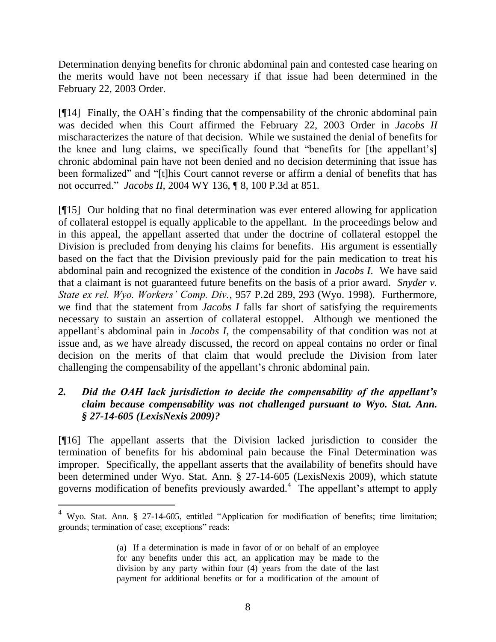Determination denying benefits for chronic abdominal pain and contested case hearing on the merits would have not been necessary if that issue had been determined in the February 22, 2003 Order.

[¶14] Finally, the OAH's finding that the compensability of the chronic abdominal pain was decided when this Court affirmed the February 22, 2003 Order in *Jacobs II*  mischaracterizes the nature of that decision. While we sustained the denial of benefits for the knee and lung claims, we specifically found that "benefits for [the appellant's] chronic abdominal pain have not been denied and no decision determining that issue has been formalized" and "[t]his Court cannot reverse or affirm a denial of benefits that has not occurred." *Jacobs II,* 2004 WY 136, ¶ 8, 100 P.3d at 851.

[¶15] Our holding that no final determination was ever entered allowing for application of collateral estoppel is equally applicable to the appellant. In the proceedings below and in this appeal, the appellant asserted that under the doctrine of collateral estoppel the Division is precluded from denying his claims for benefits. His argument is essentially based on the fact that the Division previously paid for the pain medication to treat his abdominal pain and recognized the existence of the condition in *Jacobs I*. We have said that a claimant is not guaranteed future benefits on the basis of a prior award. *Snyder v. State ex rel. Wyo. Workers' Comp. Div.*, 957 P.2d 289, 293 (Wyo. 1998). Furthermore, we find that the statement from *Jacobs I* falls far short of satisfying the requirements necessary to sustain an assertion of collateral estoppel. Although we mentioned the appellant's abdominal pain in *Jacobs I*, the compensability of that condition was not at issue and, as we have already discussed, the record on appeal contains no order or final decision on the merits of that claim that would preclude the Division from later challenging the compensability of the appellant's chronic abdominal pain.

# *2. Did the OAH lack jurisdiction to decide the compensability of the appellant's claim because compensability was not challenged pursuant to Wyo. Stat. Ann. § 27-14-605 (LexisNexis 2009)?*

[¶16] The appellant asserts that the Division lacked jurisdiction to consider the termination of benefits for his abdominal pain because the Final Determination was improper. Specifically, the appellant asserts that the availability of benefits should have been determined under Wyo. Stat. Ann. § 27-14-605 (LexisNexis 2009), which statute governs modification of benefits previously awarded.<sup>4</sup> The appellant's attempt to apply

<sup>&</sup>lt;sup>4</sup> Wyo. Stat. Ann. § 27-14-605, entitled "Application for modification of benefits; time limitation; grounds; termination of case; exceptions" reads:

<sup>(</sup>a) If a determination is made in favor of or on behalf of an employee for any benefits under this act, an application may be made to the division by any party within four (4) years from the date of the last payment for additional benefits or for a modification of the amount of